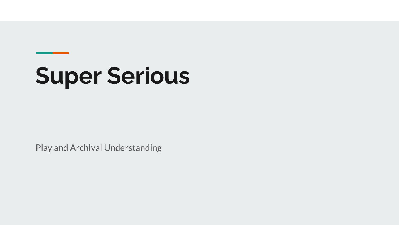# **Super Serious**

Play and Archival Understanding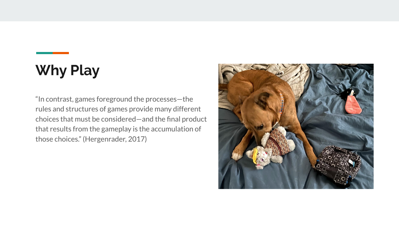# **Why Play**

"In contrast, games foreground the processes—the rules and structures of games provide many different choices that must be considered—and the final product that results from the gameplay is the accumulation of those choices." (Hergenrader, 2017)

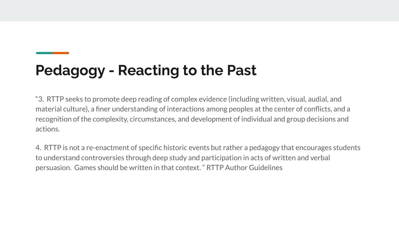## **Pedagogy - Reacting to the Past**

"3. RTTP seeks to promote deep reading of complex evidence (including written, visual, audial, and material culture), a finer understanding of interactions among peoples at the center of conflicts, and a recognition of the complexity, circumstances, and development of individual and group decisions and actions.

4. RTTP is not a re-enactment of specific historic events but rather a pedagogy that encourages students to understand controversies through deep study and participation in acts of written and verbal persuasion. Games should be written in that context. " RTTP Author Guidelines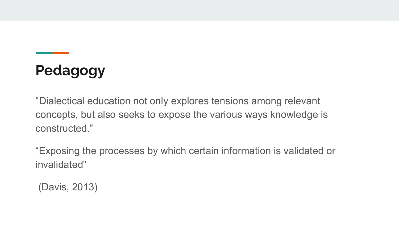# **Pedagogy**

"Dialectical education not only explores tensions among relevant concepts, but also seeks to expose the various ways knowledge is constructed."

"Exposing the processes by which certain information is validated or invalidated"

(Davis, 2013)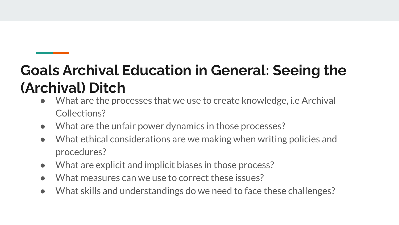# **Goals Archival Education in General: Seeing the (Archival) Ditch**

- What are the processes that we use to create knowledge, i.e Archival Collections?
- What are the unfair power dynamics in those processes?
- What ethical considerations are we making when writing policies and procedures?
- What are explicit and implicit biases in those process?
- What measures can we use to correct these issues?
- What skills and understandings do we need to face these challenges?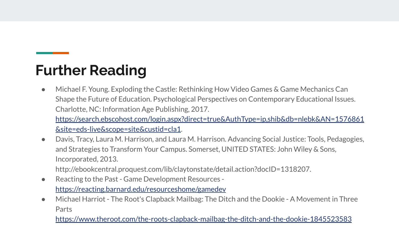### **Further Reading**

● Michael F. Young. Exploding the Castle: Rethinking How Video Games & Game Mechanics Can Shape the Future of Education. Psychological Perspectives on Contemporary Educational Issues. Charlotte, NC: Information Age Publishing, 2017. [https://search.ebscohost.com/login.aspx?direct=true&AuthType=ip,shib&db=nlebk&AN=1576861](https://search.ebscohost.com/login.aspx?direct=true&AuthType=ip,shib&db=nlebk&AN=1576861&site=eds-live&scope=site&custid=cla1)

[&site=eds-live&scope=site&custid=cla1](https://search.ebscohost.com/login.aspx?direct=true&AuthType=ip,shib&db=nlebk&AN=1576861&site=eds-live&scope=site&custid=cla1).

● Davis, Tracy, Laura M. Harrison, and Laura M. Harrison. Advancing Social Justice: Tools, Pedagogies, and Strategies to Transform Your Campus. Somerset, UNITED STATES: John Wiley & Sons, Incorporated, 2013.

http://ebookcentral.proquest.com/lib/claytonstate/detail.action?docID=1318207.

● Reacting to the Past - Game Development Resources -

<https://reacting.barnard.edu/resourceshome/gamedev>

● Michael Harriot - The Root's Clapback Mailbag: The Ditch and the Dookie - A Movement in Three Parts

<https://www.theroot.com/the-roots-clapback-mailbag-the-ditch-and-the-dookie-1845523583>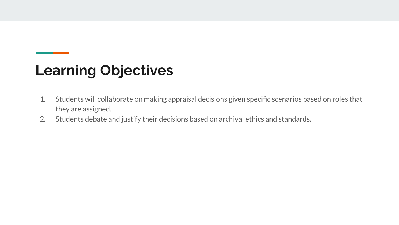### **Learning Objectives**

- 1. Students will collaborate on making appraisal decisions given specific scenarios based on roles that they are assigned.
- 2. Students debate and justify their decisions based on archival ethics and standards.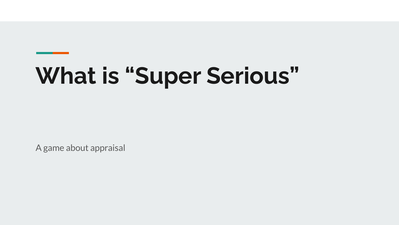# **What is "Super Serious"**

A game about appraisal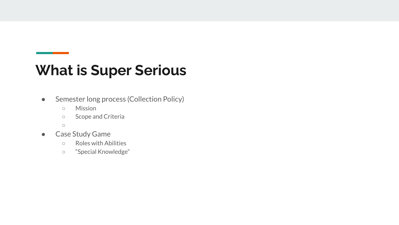#### **What is Super Serious**

- Semester long process (Collection Policy)
	- Mission
	- Scope and Criteria
	- $\circ$
- Case Study Game
	- Roles with Abilities
	- "Special Knowledge"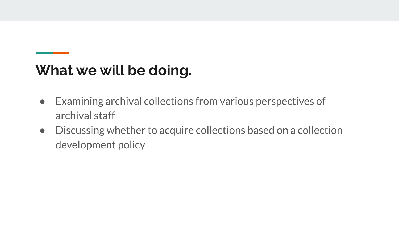## **What we will be doing.**

- Examining archival collections from various perspectives of archival staff
- Discussing whether to acquire collections based on a collection development policy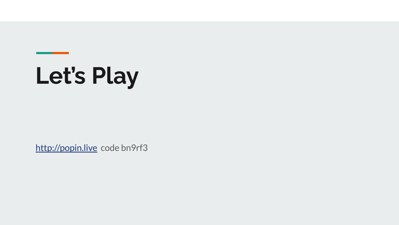# **Let's Play**

<http://popin.live>code bn9rf3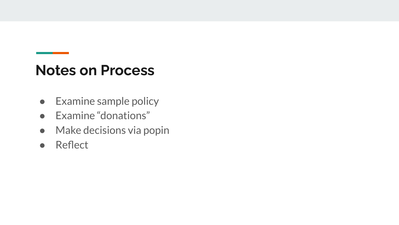#### **Notes on Process**

- Examine sample policy
- Examine "donations"
- Make decisions via popin
- Reflect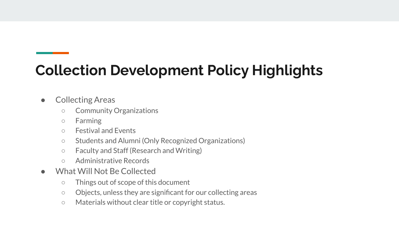## **Collection Development Policy Highlights**

- Collecting Areas
	- Community Organizations
	- Farming
	- Festival and Events
	- Students and Alumni (Only Recognized Organizations)
	- Faculty and Staff (Research and Writing)
	- Administrative Records
- What Will Not Be Collected
	- Things out of scope of this document
	- Objects, unless they are significant for our collecting areas
	- Materials without clear title or copyright status.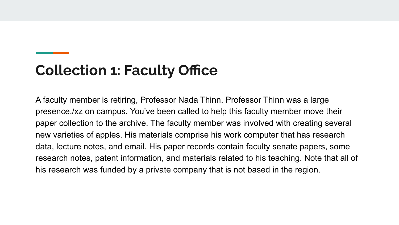#### **Collection 1: Faculty Office**

A faculty member is retiring, Professor Nada Thinn. Professor Thinn was a large presence./xz on campus. You've been called to help this faculty member move their paper collection to the archive. The faculty member was involved with creating several new varieties of apples. His materials comprise his work computer that has research data, lecture notes, and email. His paper records contain faculty senate papers, some research notes, patent information, and materials related to his teaching. Note that all of his research was funded by a private company that is not based in the region.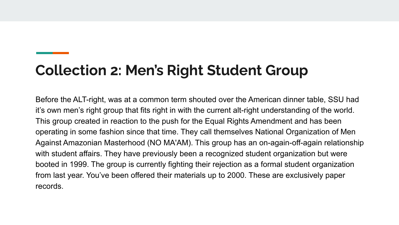## **Collection 2: Men's Right Student Group**

Before the ALT-right, was at a common term shouted over the American dinner table, SSU had it's own men's right group that fits right in with the current alt-right understanding of the world. This group created in reaction to the push for the Equal Rights Amendment and has been operating in some fashion since that time. They call themselves National Organization of Men Against Amazonian Masterhood (NO MA'AM). This group has an on-again-off-again relationship with student affairs. They have previously been a recognized student organization but were booted in 1999. The group is currently fighting their rejection as a formal student organization from last year. You've been offered their materials up to 2000. These are exclusively paper records.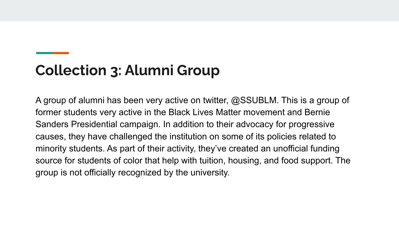### **Collection 3: Alumni Group**

A group of alumni has been very active on twitter, @SSUBLM. This is a group of former students very active in the Black Lives Matter movement and Bernie Sanders Presidential campaign. In addition to their advocacy for progressive causes, they have challenged the institution on some of its policies related to minority students. As part of their activity, they've created an unofficial funding source for students of color that help with tuition, housing, and food support. The group is not officially recognized by the university.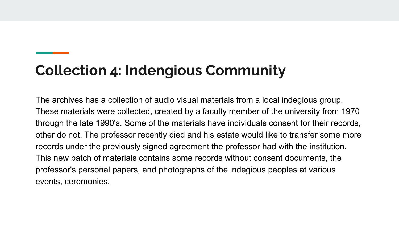#### **Collection 4: Indengious Community**

The archives has a collection of audio visual materials from a local indegious group. These materials were collected, created by a faculty member of the university from 1970 through the late 1990's. Some of the materials have individuals consent for their records, other do not. The professor recently died and his estate would like to transfer some more records under the previously signed agreement the professor had with the institution. This new batch of materials contains some records without consent documents, the professor's personal papers, and photographs of the indegious peoples at various events, ceremonies.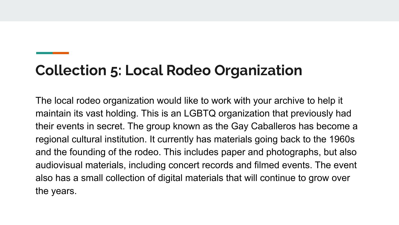### **Collection 5: Local Rodeo Organization**

The local rodeo organization would like to work with your archive to help it maintain its vast holding. This is an LGBTQ organization that previously had their events in secret. The group known as the Gay Caballeros has become a regional cultural institution. It currently has materials going back to the 1960s and the founding of the rodeo. This includes paper and photographs, but also audiovisual materials, including concert records and filmed events. The event also has a small collection of digital materials that will continue to grow over the years.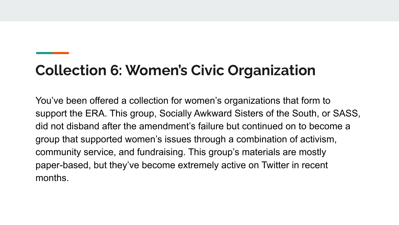## **Collection 6: Women's Civic Organization**

You've been offered a collection for women's organizations that form to support the ERA. This group, Socially Awkward Sisters of the South, or SASS, did not disband after the amendment's failure but continued on to become a group that supported women's issues through a combination of activism, community service, and fundraising. This group's materials are mostly paper-based, but they've become extremely active on Twitter in recent months.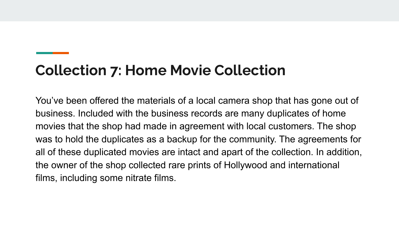#### **Collection 7: Home Movie Collection**

You've been offered the materials of a local camera shop that has gone out of business. Included with the business records are many duplicates of home movies that the shop had made in agreement with local customers. The shop was to hold the duplicates as a backup for the community. The agreements for all of these duplicated movies are intact and apart of the collection. In addition, the owner of the shop collected rare prints of Hollywood and international films, including some nitrate films.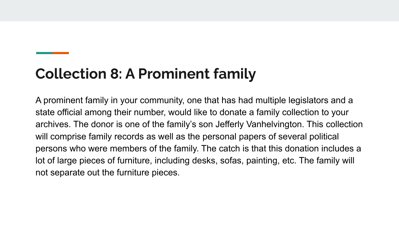#### **Collection 8: A Prominent family**

A prominent family in your community, one that has had multiple legislators and a state official among their number, would like to donate a family collection to your archives. The donor is one of the family's son Jefferly Vanhelvington. This collection will comprise family records as well as the personal papers of several political persons who were members of the family. The catch is that this donation includes a lot of large pieces of furniture, including desks, sofas, painting, etc. The family will not separate out the furniture pieces.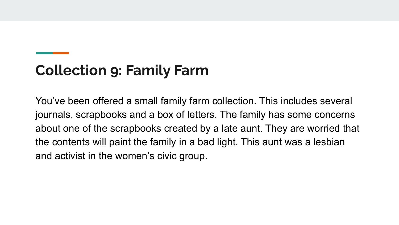## **Collection 9: Family Farm**

You've been offered a small family farm collection. This includes several journals, scrapbooks and a box of letters. The family has some concerns about one of the scrapbooks created by a late aunt. They are worried that the contents will paint the family in a bad light. This aunt was a lesbian and activist in the women's civic group.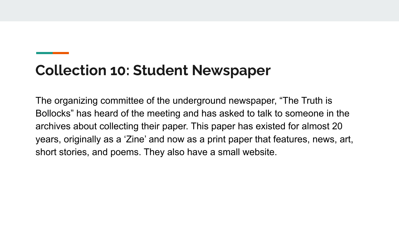#### **Collection 10: Student Newspaper**

The organizing committee of the underground newspaper, "The Truth is Bollocks" has heard of the meeting and has asked to talk to someone in the archives about collecting their paper. This paper has existed for almost 20 years, originally as a 'Zine' and now as a print paper that features, news, art, short stories, and poems. They also have a small website.